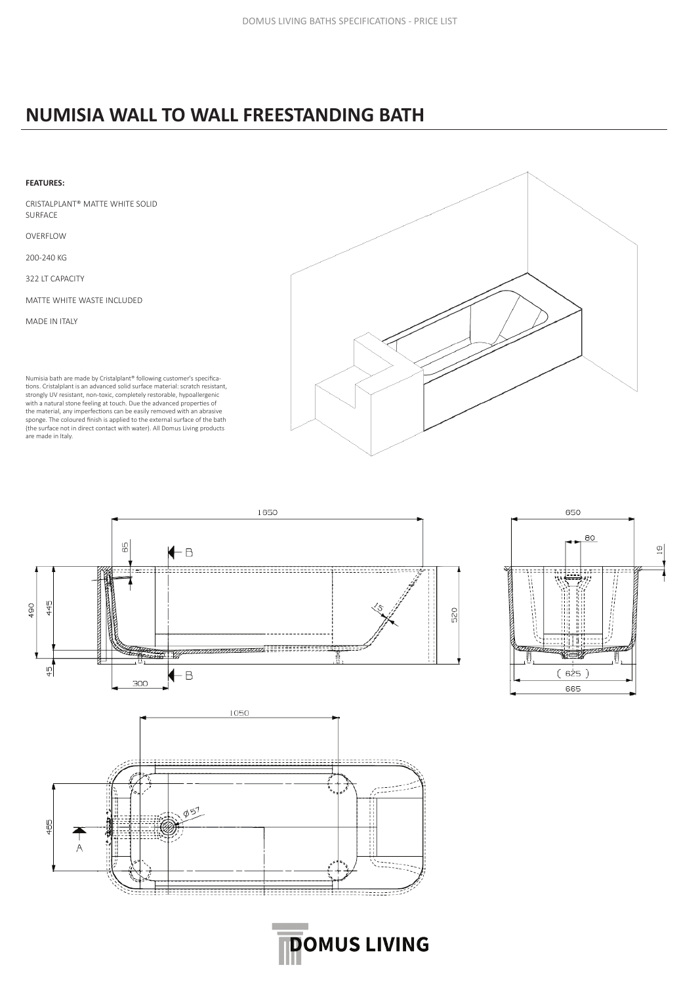## **NUMISIA WALL TO WALL FREESTANDING BATH**

## **FEATURES:** CRISTALPLANT® MATTE WHITE SOLID SURFACE OVERFLOW 200-240 KG 322 LT CAPACITY MATTE WHITE WASTE INCLUDED MADE IN ITALY

Numisia bath are made by Cristalplant® following customer's specifications. Cristalplant is an advanced solid surface material: scratch resistant, strongly UV resistant, non-toxic, completely restorable, hypoallergenic with a natural stone feeling at touch. Due the advanced properties of the material, any imperfections can be easily removed with an abrasive sponge. The coloured finish is applied to the external surface of the bath (the surface not in direct contact with water). All Domus Living products are made in Italy.



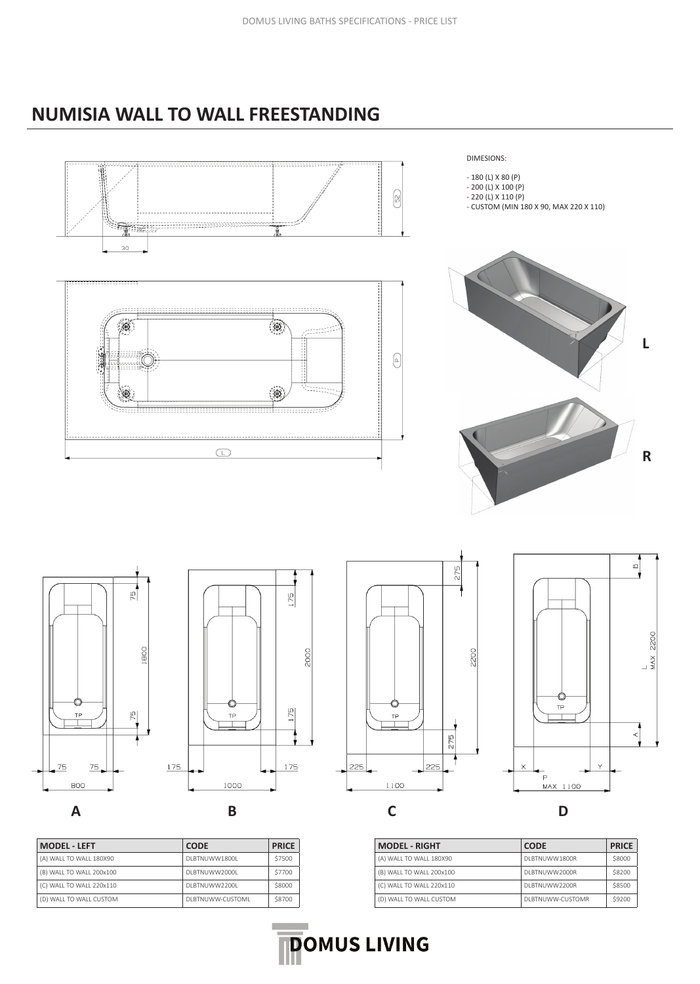## **NUMISIA WALL TO WALL FREESTANDING**